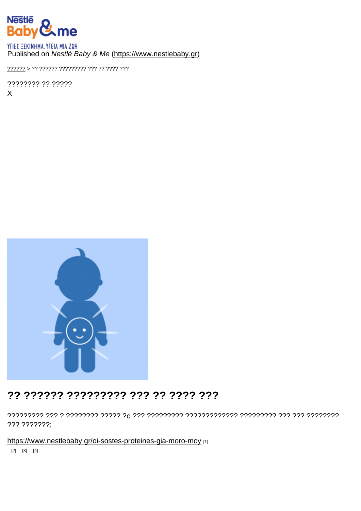### Published on Nestlé Baby & Me [\(https://www.nestlebaby.gr](https://www.nestlebaby.gr))

[??????](https://www.nestlebaby.gr/) > ?? ?????? ????????? ??? ?? ???? ???

???????? ?? ????? X

## ?? ?????? ????????? ??? ?? ???? ???

????????? ??? ? ???????? ????? ?o ??? ????????? ????????????? ????????? ??? ??? ???????? ??? ???????;

<https://www.nestlebaby.gr/oi-sostes-proteines-gia-moro-moy> [1]  $[2]$   $[3]$   $[4]$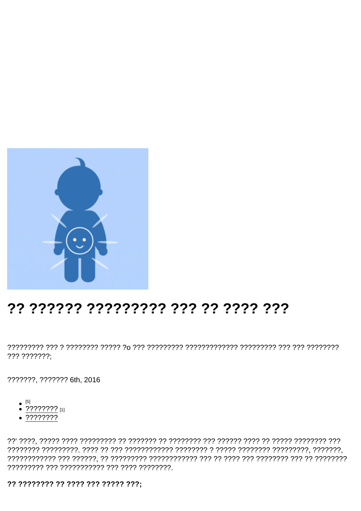# ?? ?????? ????????? ??? ???? ???? ???

 $??? ??????$ 

???????, ??????? 6th, 2016

- $[5]$
- $\bullet$  ???????? [1]
- $.2222222$

?? ???????? ?? ???? ??? ????? ???: